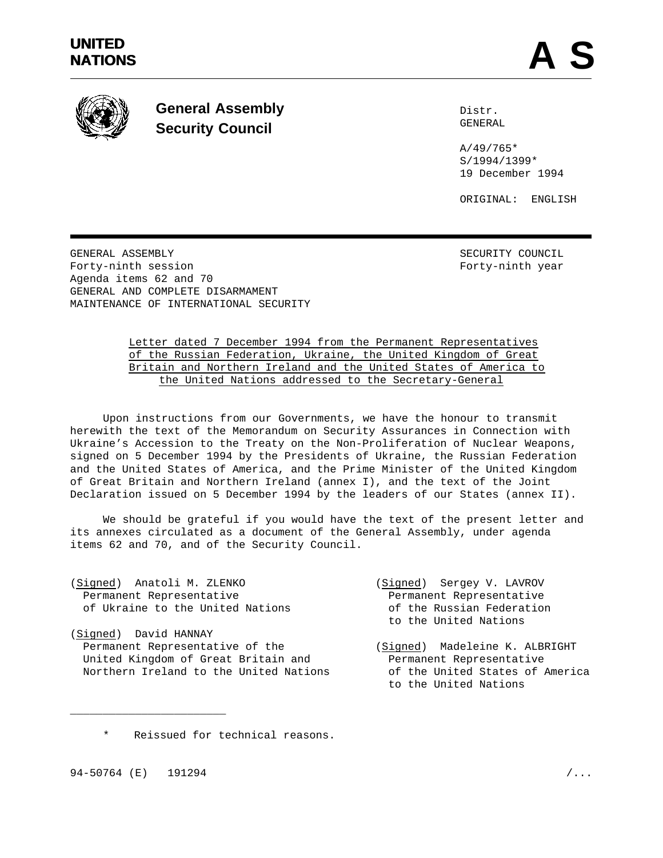

**General Assembly Security Council**

Distr. GENERAL

A/49/765\* S/1994/1399\* 19 December 1994

ORIGINAL: ENGLISH

GENERAL ASSEMBLY SECURITY COUNCIL Forty-ninth session Forty-ninth year Agenda items 62 and 70 GENERAL AND COMPLETE DISARMAMENT MAINTENANCE OF INTERNATIONAL SECURITY

Letter dated 7 December 1994 from the Permanent Representatives of the Russian Federation, Ukraine, the United Kingdom of Great Britain and Northern Ireland and the United States of America to the United Nations addressed to the Secretary-General

Upon instructions from our Governments, we have the honour to transmit herewith the text of the Memorandum on Security Assurances in Connection with Ukraine's Accession to the Treaty on the Non-Proliferation of Nuclear Weapons, signed on 5 December 1994 by the Presidents of Ukraine, the Russian Federation and the United States of America, and the Prime Minister of the United Kingdom of Great Britain and Northern Ireland (annex I), and the text of the Joint Declaration issued on 5 December 1994 by the leaders of our States (annex II).

We should be grateful if you would have the text of the present letter and its annexes circulated as a document of the General Assembly, under agenda items 62 and 70, and of the Security Council.

| (Signed) Anatoli M. ZLENKO             | (Signed) Sergey V. LAVROV       |
|----------------------------------------|---------------------------------|
| Permanent Representative               | Permanent Representative        |
| of Ukraine to the United Nations       | of the Russian Federation       |
|                                        | to the United Nations           |
| (Signed) David HANNAY                  |                                 |
| Permanent Representative of the        | (Signed) Madeleine K. ALBRIGHT  |
| United Kingdom of Great Britain and    | Permanent Representative        |
| Northern Ireland to the United Nations | of the United States of America |
|                                        | to the United Nations           |

Reissued for technical reasons.

94-50764 (E) 191294 /...

\_\_\_\_\_\_\_\_\_\_\_\_\_\_\_\_\_\_\_\_\_\_\_\_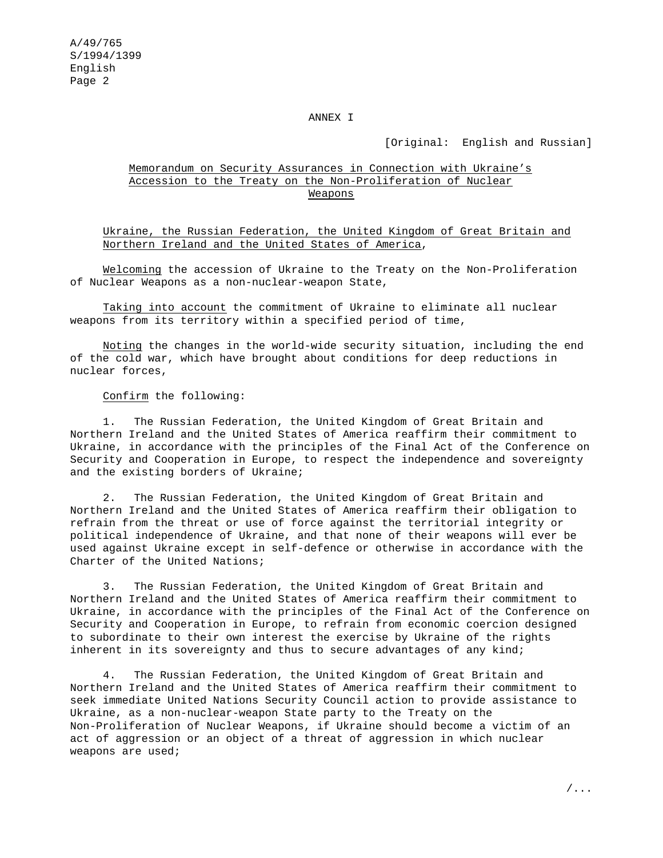## ANNEX I

[Original: English and Russian]

## Memorandum on Security Assurances in Connection with Ukraine's Accession to the Treaty on the Non-Proliferation of Nuclear Weapons

Ukraine, the Russian Federation, the United Kingdom of Great Britain and Northern Ireland and the United States of America,

Welcoming the accession of Ukraine to the Treaty on the Non-Proliferation of Nuclear Weapons as a non-nuclear-weapon State,

Taking into account the commitment of Ukraine to eliminate all nuclear weapons from its territory within a specified period of time,

Noting the changes in the world-wide security situation, including the end of the cold war, which have brought about conditions for deep reductions in nuclear forces,

Confirm the following:

1. The Russian Federation, the United Kingdom of Great Britain and Northern Ireland and the United States of America reaffirm their commitment to Ukraine, in accordance with the principles of the Final Act of the Conference on Security and Cooperation in Europe, to respect the independence and sovereignty and the existing borders of Ukraine;

2. The Russian Federation, the United Kingdom of Great Britain and Northern Ireland and the United States of America reaffirm their obligation to refrain from the threat or use of force against the territorial integrity or political independence of Ukraine, and that none of their weapons will ever be used against Ukraine except in self-defence or otherwise in accordance with the Charter of the United Nations;

3. The Russian Federation, the United Kingdom of Great Britain and Northern Ireland and the United States of America reaffirm their commitment to Ukraine, in accordance with the principles of the Final Act of the Conference on Security and Cooperation in Europe, to refrain from economic coercion designed to subordinate to their own interest the exercise by Ukraine of the rights inherent in its sovereignty and thus to secure advantages of any kind;

4. The Russian Federation, the United Kingdom of Great Britain and Northern Ireland and the United States of America reaffirm their commitment to seek immediate United Nations Security Council action to provide assistance to Ukraine, as a non-nuclear-weapon State party to the Treaty on the Non-Proliferation of Nuclear Weapons, if Ukraine should become a victim of an act of aggression or an object of a threat of aggression in which nuclear weapons are used;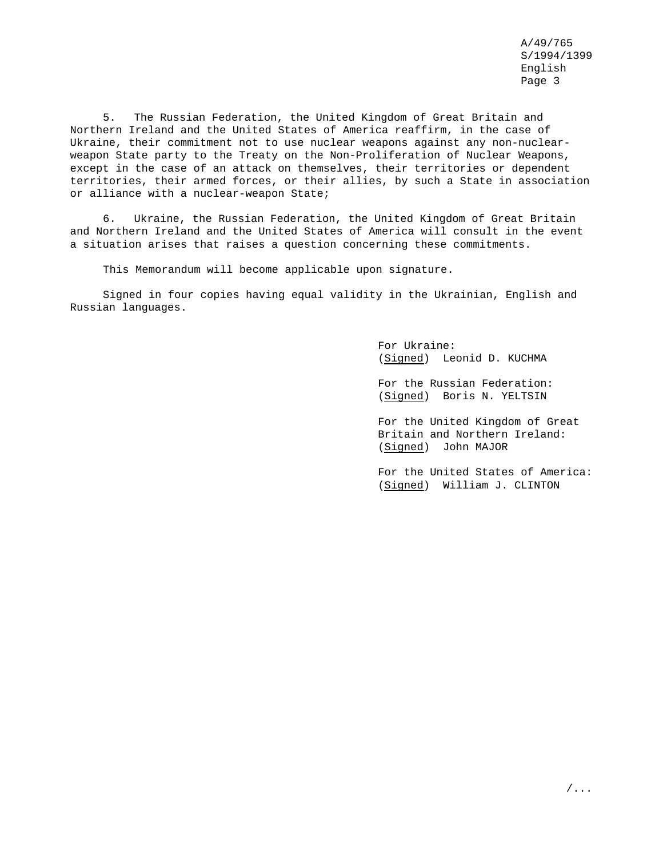5. The Russian Federation, the United Kingdom of Great Britain and Northern Ireland and the United States of America reaffirm, in the case of Ukraine, their commitment not to use nuclear weapons against any non-nuclearweapon State party to the Treaty on the Non-Proliferation of Nuclear Weapons, except in the case of an attack on themselves, their territories or dependent territories, their armed forces, or their allies, by such a State in association or alliance with a nuclear-weapon State;

6. Ukraine, the Russian Federation, the United Kingdom of Great Britain and Northern Ireland and the United States of America will consult in the event a situation arises that raises a question concerning these commitments.

This Memorandum will become applicable upon signature.

Signed in four copies having equal validity in the Ukrainian, English and Russian languages.

> For Ukraine: (Signed) Leonid D. KUCHMA

For the Russian Federation: (Signed) Boris N. YELTSIN

For the United Kingdom of Great Britain and Northern Ireland: (Signed) John MAJOR

For the United States of America: (Signed) William J. CLINTON